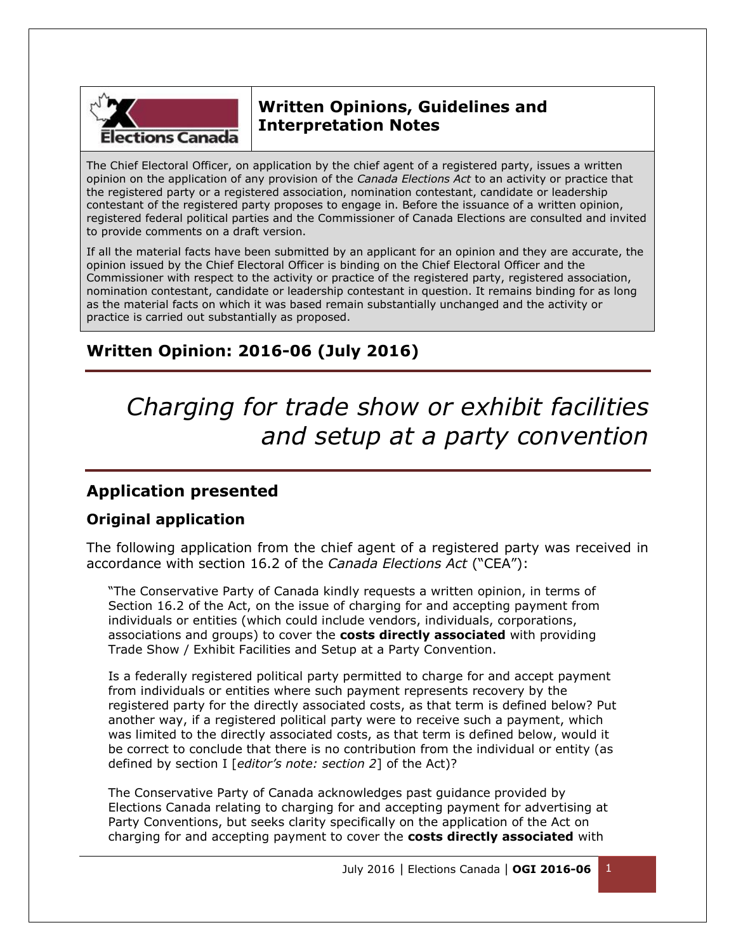

# **Written Opinions, Guidelines and Interpretation Notes**

The Chief Electoral Officer, on application by the chief agent of a registered party, issues a written opinion on the application of any provision of the *Canada Elections Act* to an activity or practice that the registered party or a registered association, nomination contestant, candidate or leadership contestant of the registered party proposes to engage in. Before the issuance of a written opinion, registered federal political parties and the Commissioner of Canada Elections are consulted and invited to provide comments on a draft version.

If all the material facts have been submitted by an applicant for an opinion and they are accurate, the opinion issued by the Chief Electoral Officer is binding on the Chief Electoral Officer and the Commissioner with respect to the activity or practice of the registered party, registered association, nomination contestant, candidate or leadership contestant in question. It remains binding for as long as the material facts on which it was based remain substantially unchanged and the activity or practice is carried out substantially as proposed.

# **Written Opinion: 2016-06 (July 2016)**

# *Charging for trade show or exhibit facilities and setup at a party convention*

## **Application presented**

## **Original application**

The following application from the chief agent of a registered party was received in accordance with section 16.2 of the *Canada Elections Act* ("CEA"):

"The Conservative Party of Canada kindly requests a written opinion, in terms of Section 16.2 of the Act, on the issue of charging for and accepting payment from individuals or entities (which could include vendors, individuals, corporations, associations and groups) to cover the **costs directly associated** with providing Trade Show / Exhibit Facilities and Setup at a Party Convention.

Is a federally registered political party permitted to charge for and accept payment from individuals or entities where such payment represents recovery by the registered party for the directly associated costs, as that term is defined below? Put another way, if a registered political party were to receive such a payment, which was limited to the directly associated costs, as that term is defined below, would it be correct to conclude that there is no contribution from the individual or entity (as defined by section I [*editor's note: section 2*] of the Act)?

The Conservative Party of Canada acknowledges past guidance provided by Elections Canada relating to charging for and accepting payment for advertising at Party Conventions, but seeks clarity specifically on the application of the Act on charging for and accepting payment to cover the **costs directly associated** with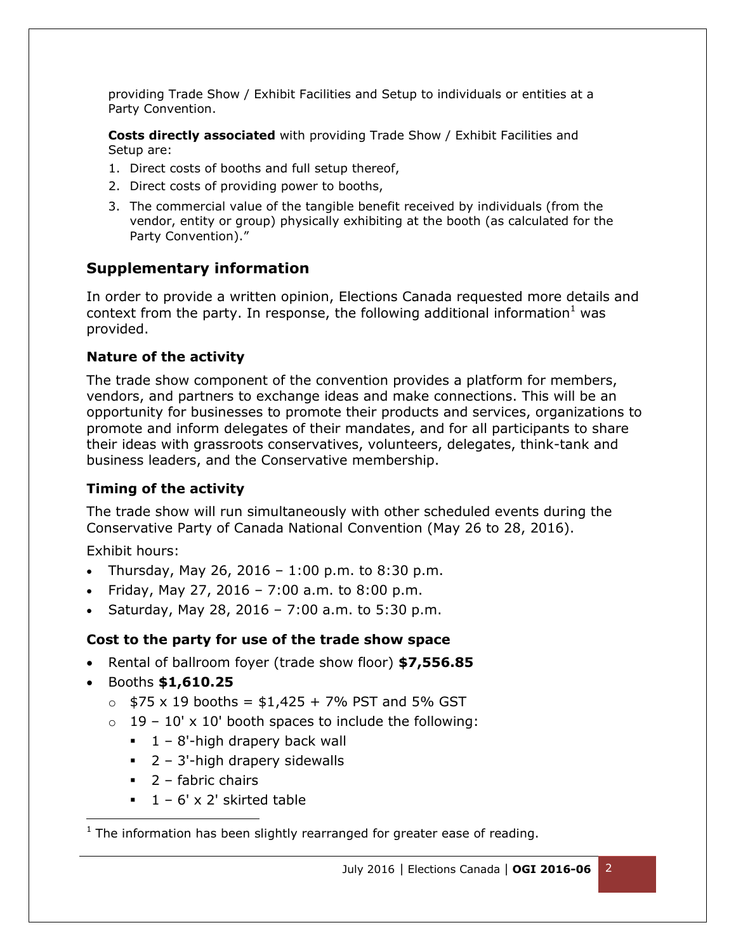providing Trade Show / Exhibit Facilities and Setup to individuals or entities at a Party Convention.

**Costs directly associated** with providing Trade Show / Exhibit Facilities and Setup are:

- 1. Direct costs of booths and full setup thereof,
- 2. Direct costs of providing power to booths,
- 3. The commercial value of the tangible benefit received by individuals (from the vendor, entity or group) physically exhibiting at the booth (as calculated for the Party Convention)."

#### **Supplementary information**

In order to provide a written opinion, Elections Canada requested more details and context from the party. In response, the following additional information<sup>1</sup> was provided.

#### **Nature of the activity**

The trade show component of the convention provides a platform for members, vendors, and partners to exchange ideas and make connections. This will be an opportunity for businesses to promote their products and services, organizations to promote and inform delegates of their mandates, and for all participants to share their ideas with grassroots conservatives, volunteers, delegates, think-tank and business leaders, and the Conservative membership.

#### **Timing of the activity**

The trade show will run simultaneously with other scheduled events during the Conservative Party of Canada National Convention (May 26 to 28, 2016).

Exhibit hours:

- Thursday, May 26, 2016 1:00 p.m. to 8:30 p.m.
- Friday, May 27, 2016 7:00 a.m. to 8:00 p.m.
- Saturday, May 28, 2016 7:00 a.m. to 5:30 p.m.

#### **Cost to the party for use of the trade show space**

- Rental of ballroom foyer (trade show floor) **\$7,556.85**
- Booths **\$1,610.25**

l

- $\circ$  \$75 x 19 booths = \$1,425 + 7% PST and 5% GST
- $\circ$  19 10' x 10' booth spaces to include the following:
	- $1 8'$ -high drapery back wall
	- $\blacksquare$  2 3'-high drapery sidewalls
	- $\blacksquare$  2 fabric chairs
	- $1 6' \times 2'$  skirted table

 $1$  The information has been slightly rearranged for greater ease of reading.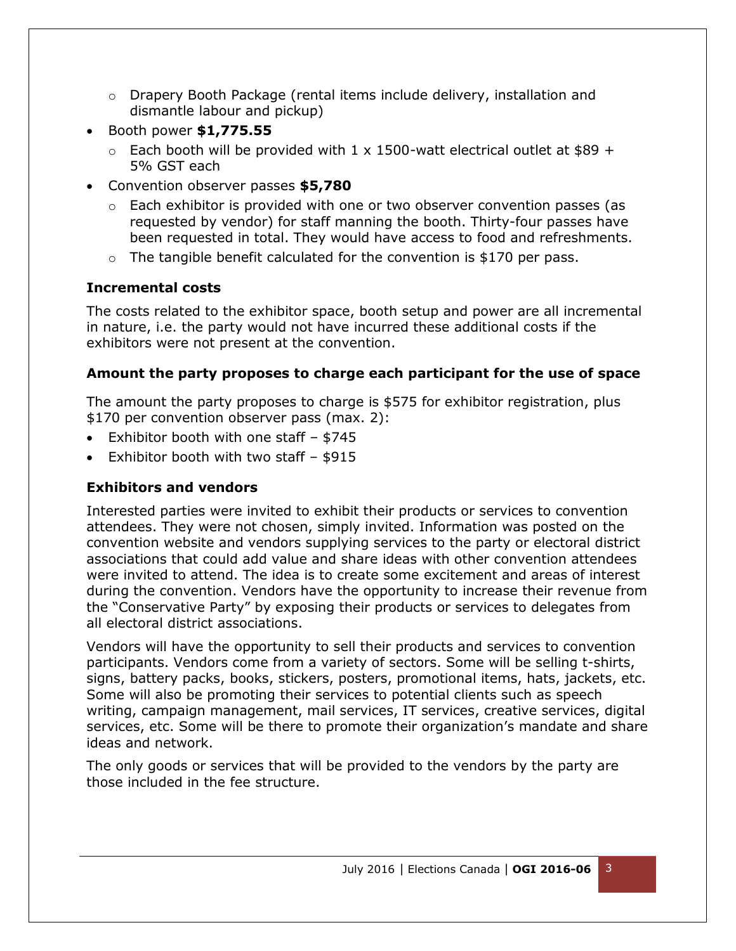- $\circ$  Drapery Booth Package (rental items include delivery, installation and dismantle labour and pickup)
- Booth power **\$1,775.55**
	- $\circ$  Each booth will be provided with 1 x 1500-watt electrical outlet at \$89 + 5% GST each
- Convention observer passes **\$5,780**
	- $\circ$  Each exhibitor is provided with one or two observer convention passes (as requested by vendor) for staff manning the booth. Thirty-four passes have been requested in total. They would have access to food and refreshments.
	- $\circ$  The tangible benefit calculated for the convention is \$170 per pass.

## **Incremental costs**

The costs related to the exhibitor space, booth setup and power are all incremental in nature, i.e. the party would not have incurred these additional costs if the exhibitors were not present at the convention.

## **Amount the party proposes to charge each participant for the use of space**

The amount the party proposes to charge is \$575 for exhibitor registration, plus \$170 per convention observer pass (max. 2):

- Exhibitor booth with one staff \$745
- Exhibitor booth with two staff \$915

## **Exhibitors and vendors**

Interested parties were invited to exhibit their products or services to convention attendees. They were not chosen, simply invited. Information was posted on the convention website and vendors supplying services to the party or electoral district associations that could add value and share ideas with other convention attendees were invited to attend. The idea is to create some excitement and areas of interest during the convention. Vendors have the opportunity to increase their revenue from the "Conservative Party" by exposing their products or services to delegates from all electoral district associations.

Vendors will have the opportunity to sell their products and services to convention participants. Vendors come from a variety of sectors. Some will be selling t-shirts, signs, battery packs, books, stickers, posters, promotional items, hats, jackets, etc. Some will also be promoting their services to potential clients such as speech writing, campaign management, mail services, IT services, creative services, digital services, etc. Some will be there to promote their organization's mandate and share ideas and network.

The only goods or services that will be provided to the vendors by the party are those included in the fee structure.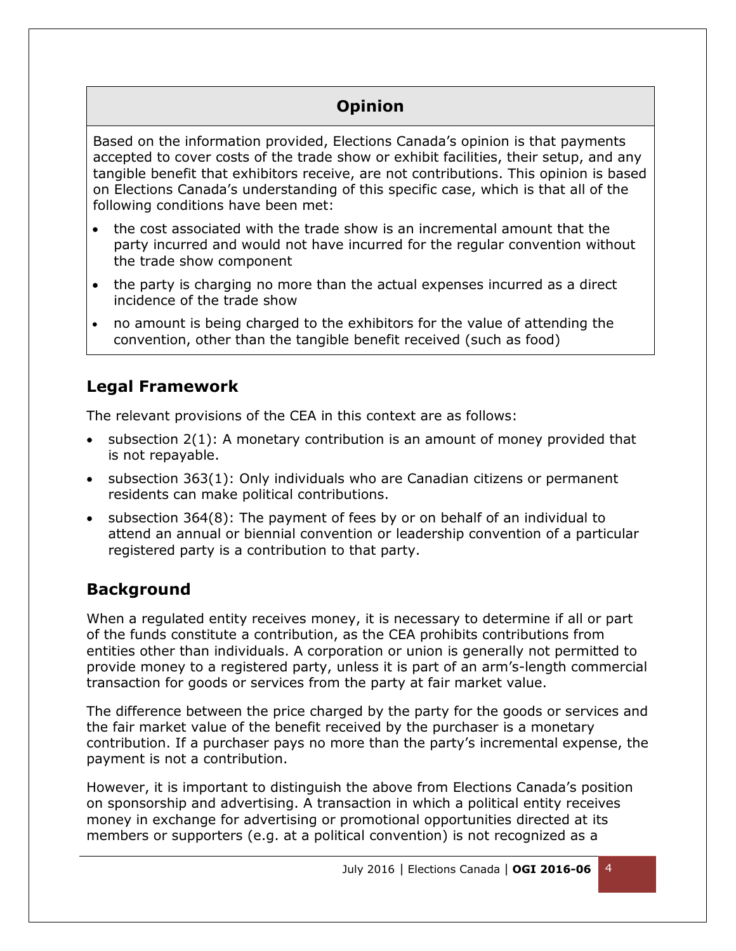# **Opinion**

Based on the information provided, Elections Canada's opinion is that payments accepted to cover costs of the trade show or exhibit facilities, their setup, and any tangible benefit that exhibitors receive, are not contributions. This opinion is based on Elections Canada's understanding of this specific case, which is that all of the following conditions have been met:

- the cost associated with the trade show is an incremental amount that the party incurred and would not have incurred for the regular convention without the trade show component
- the party is charging no more than the actual expenses incurred as a direct incidence of the trade show
- no amount is being charged to the exhibitors for the value of attending the convention, other than the tangible benefit received (such as food)

## **Legal Framework**

The relevant provisions of the CEA in this context are as follows:

- subsection 2(1): A monetary contribution is an amount of money provided that is not repayable.
- subsection 363(1): Only individuals who are Canadian citizens or permanent residents can make political contributions.
- subsection 364(8): The payment of fees by or on behalf of an individual to attend an annual or biennial convention or leadership convention of a particular registered party is a contribution to that party.

## **Background**

When a regulated entity receives money, it is necessary to determine if all or part of the funds constitute a contribution, as the CEA prohibits contributions from entities other than individuals. A corporation or union is generally not permitted to provide money to a registered party, unless it is part of an arm's-length commercial transaction for goods or services from the party at fair market value.

The difference between the price charged by the party for the goods or services and the fair market value of the benefit received by the purchaser is a monetary contribution. If a purchaser pays no more than the party's incremental expense, the payment is not a contribution.

However, it is important to distinguish the above from Elections Canada's position on sponsorship and advertising. A transaction in which a political entity receives money in exchange for advertising or promotional opportunities directed at its members or supporters (e.g. at a political convention) is not recognized as a